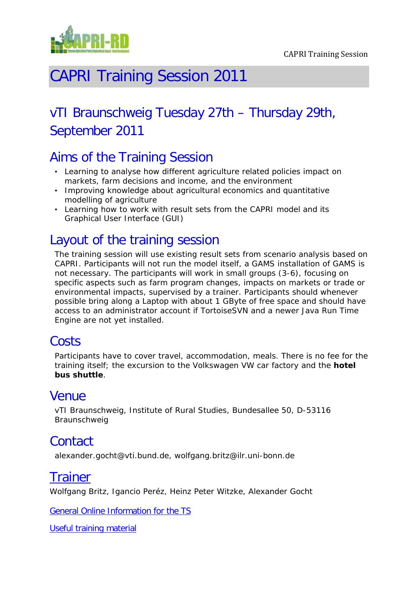

# CAPRI Training Session 2011

# vTI Braunschweig Tuesday 27th – Thursday 29th, September 2011

## Aims of the Training Session

- Learning to analyse how different agriculture related policies impact on markets, farm decisions and income, and the environment
- Improving knowledge about agricultural economics and quantitative modelling of agriculture
- Learning how to work with result sets from the CAPRI model and its Graphical User Interface (GUI)

### Layout of the training session

The training session will use existing result sets from scenario analysis based on CAPRI. Participants will not run the model itself, a GAMS installation of GAMS is not necessary. The participants will work in small groups (3-6), focusing on specific aspects such as farm program changes, impacts on markets or trade or environmental impacts, supervised by a trainer. Participants should whenever possible bring along a Laptop with about 1 GByte of free space and should have access to an administrator account if TortoiseSVN and a newer Java Run Time Engine are not yet installed.

### **Costs**

Participants have to cover travel, accommodation, meals. There is no fee for the training itself; the excursion to the Volkswagen VW car factory and the **hotel bus shuttle**.

### Venue

vTI Braunschweig, Institute of Rural Studies, Bundesallee 50, D-53116 Braunschweig

### Contact

alexander.gocht@vti.bund.de, wolfgang.britz@ilr.uni-bonn.de

### **[Trainer](http://www.capri-model.org/dokuwiki/doku.php?id=capri:team)**

Wolfgang Britz, Igancio Peréz, Heinz Peter Witzke, Alexander Gocht

[General Online Information](http://www.capri-model.org/dokuwiki/doku.php?id=capri:ts:braunschweig) for the TS

[Useful training material](http://www.capri-model.org/dokuwiki/doku.php?id=capri:ts:TrainingMaterial)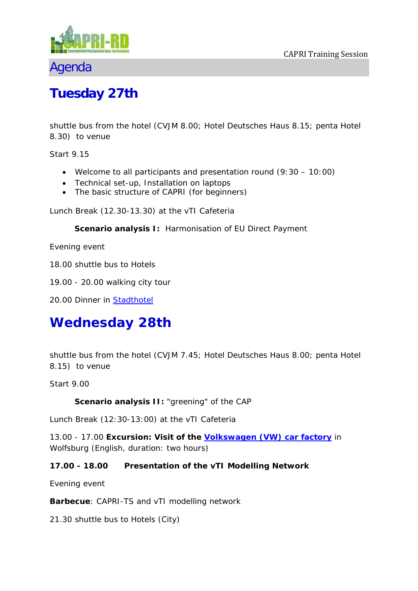

### Agenda

# **Tuesday 27th**

*shuttle bus from the hotel (CVJM 8.00; Hotel Deutsches Haus 8.15; penta Hotel 8.30) to venue*

*Start 9.15*

- Welcome to all participants and presentation round (9:30 10:00)
- Technical set-up, Installation on laptops
- The basic structure of CAPRI (for beginners)

*Lunch Break (12.30-13.30) at the vTI Cafeteria* 

**Scenario analysis I:** *Harmonisation of EU Direct Payment* 

*Evening event* 

*18.00 shuttle bus to Hotels*

*19.00 - 20.00 walking city tour*

*20.00* Dinner in [Stadthotel](http://www.stadthotel-magni.de/)

# **Wednesday 28th**

*shuttle bus from the hotel (CVJM 7.45; Hotel Deutsches Haus 8.00; penta Hotel 8.15) to venue*

*Start 9.00*

**Scenario analysis II:** *"greening" of the CAP* 

*Lunch Break (12:30-13:00) at the vTI Cafeteria* 

13.00 - 17.00 **Excursion: Visit of the [Volkswagen \(VW\)](http://www.autostadt.de/en/home/) car factory** in Wolfsburg (English, duration: two hours)

**17.00 - 18.00 Presentation of the vTI Modelling Network**

*Evening event* 

**Barbecue**: CAPRI-TS and vTI modelling network

*21.30 shuttle bus to Hotels (City)*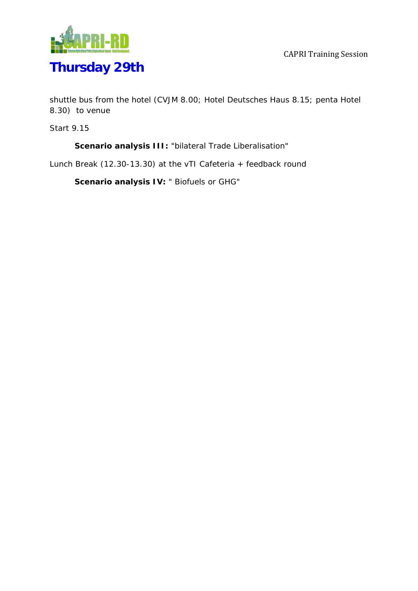

# **Thursday 29th**

*shuttle bus from the hotel (CVJM 8.00; Hotel Deutsches Haus 8.15; penta Hotel 8.30) to venue*

*Start 9.15*

**Scenario analysis III:** *"bilateral Trade Liberalisation"* 

*Lunch Break (12.30-13.30) at the vTI Cafeteria + feedback round*

**Scenario analysis IV:** *" Biofuels or GHG"*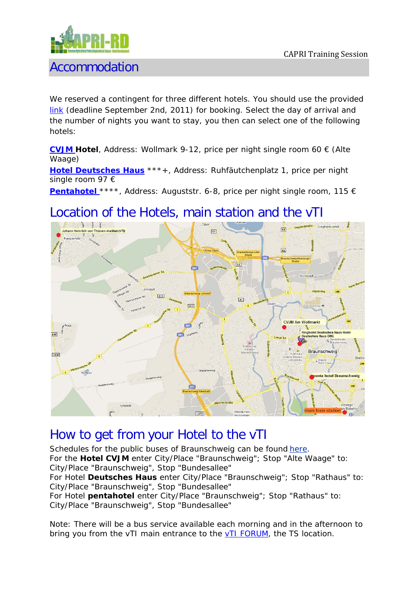

### Accommodation

We reserved a contingent for three different hotels. You should use the provided [link](http://germany.nethotels.com/info/braunschweig/events/Capri/default_en.htm) (deadline September 2nd, 2011) for booking. Select the day of arrival and the number of nights you want to stay, you then can select one of the following hotels:

**[CVJM H](http://www.hotelamwollmarkt.de/)otel**, Address: Wollmark 9-12, price per night single room 60 € (Alte Waage)

**[Hotel Deutsches Haus](http://deutscheshaus24.pblo.de/cms.aspx?topic=hotel-deutsches-haus-braunschweig.php)** \*\*\*+, Address: Ruhfäutchenplatz 1, price per night single room 97 €

**[Pentahotel](http://www.pentahotels.com/de/braunschweig/)** \*\*\*\*, Address: Auguststr. 6-8, price per night single room, 115 €

## Location of the Hotels, main station and the vTI



### How to get from your Hotel to the vTI

Schedules for the public buses of Braunschweig can be found [here.](http://212.68.73.240/bsvag/XSLT_TRIP_REQUEST2?language=en&itdLPxx_transpCompany=bsvag) For the **Hotel CVJM** enter City/Place "Braunschweig"; Stop "Alte Waage" to: City/Place "Braunschweig", Stop "Bundesallee" For Hotel **Deutsches Haus** enter City/Place "Braunschweig"; Stop "Rathaus" to: City/Place "Braunschweig", Stop "Bundesallee" For Hotel **pentahotel** enter City/Place "Braunschweig"; Stop "Rathaus" to: City/Place "Braunschweig", Stop "Bundesallee"

Note: There will be a bus service available each morning and in the afternoon to bring you from the vTI main entrance to the [vTI FORUM,](http://www.vti.bund.de/fileadmin/dam_uploads/vTI/Bilder/Standorte/GelaendeplanBS_2010.pdf) the TS location.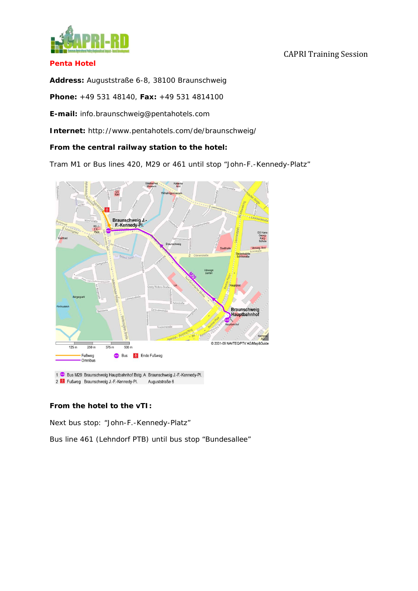

#### **Penta Hotel**

**Address:** Auguststraße 6-8, 38100 Braunschweig

**Phone:** +49 531 48140, **Fax:** +49 531 4814100

**E-mail:** [info.braunschweig@pentahotels.com](mailto:info.braunschweig@pentahotels.com)

**Internet:** http://www.pentahotels.com/de/braunschweig/

#### **From the central railway station to the hotel:**

Tram M1 or Bus lines 420, M29 or 461 until stop "John-F.-Kennedy-Platz"



#### **From the hotel to the vTI:**

Next bus stop: "John-F.-Kennedy-Platz"

Bus line 461 (Lehndorf PTB) until bus stop "Bundesallee"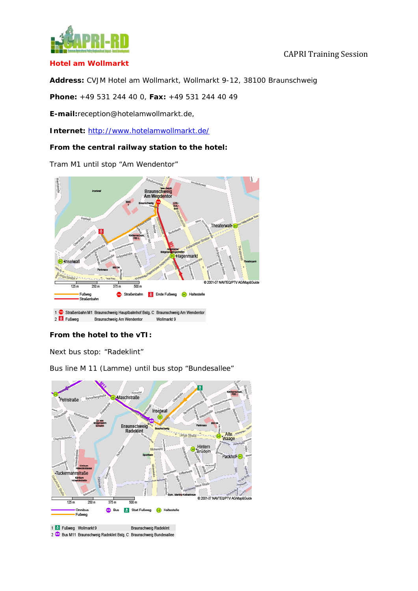

#### **Hotel am Wollmarkt**

#### CAPRI Training Session

**Address:** CVJM Hotel am Wollmarkt, Wollmarkt 9-12, 38100 Braunschweig

**Phone:** +49 531 244 40 0, **Fax:** +49 531 244 40 49

**E-mail:**reception@hotelamwollmarkt.de,

**Internet:** <http://www.hotelamwollmarkt.de/>

#### **From the central railway station to the hotel:**

Tram M1 until stop "Am Wendentor"



#### **From the hotel to the vTI:**

Next bus stop: "Radeklint"

Bus line M 11 (Lamme) until bus stop "Bundesallee"



<sup>1 2</sup> Fußweg Wollmarkt 9 Braunschweig Radeklint 2 (b) Bus M11 Braunschweig Radeklint Bstg. C Braunschweig Bundesallee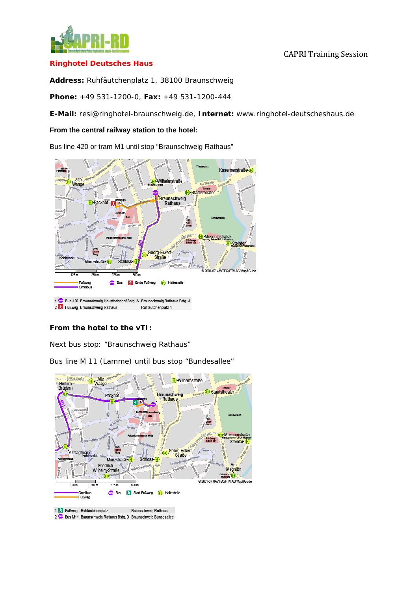

#### CAPRI Training Session

#### **Ringhotel Deutsches Haus**

**Address:** Ruhfäutchenplatz 1, 38100 Braunschweig

**Phone:** +49 531-1200-0, **Fax:** +49 531-1200-444

**E-Mail:** resi@ringhotel-braunschweig.de, **Internet:** [www.ringhotel-deutscheshaus.de](http://www.ringhotel-deutscheshaus.de/)

#### **From the central railway station to the hotel:**

Bus line 420 or tram M1 until stop "Braunschweig Rathaus"



### **From the hotel to the vTI:**

Next bus stop: "Braunschweig Rathaus"

Bus line M 11 (Lamme) until bus stop "Bundesallee"





2 Co Bus M11 Braunschweig Rathaus Bstg. D Braunschweig Bundesallee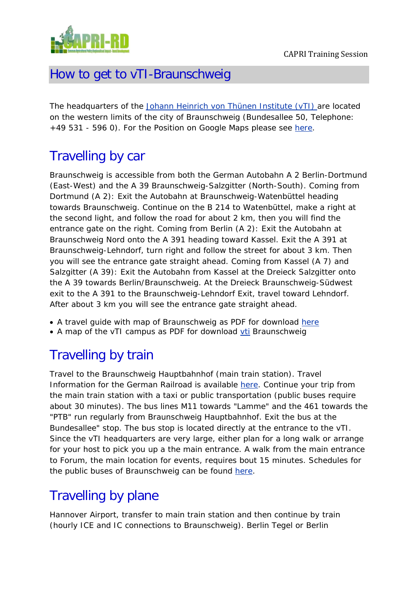

## How to get to vTI-Braunschweig

The headquarters of the [Johann Heinrich von Thünen Institute \(vTI\)](http://www.vti.bund.de/en) are located on the western limits of the city of Braunschweig (Bundesallee 50, Telephone: +49 531 - 596 0). For the Position on Google Maps please see [here.](http://maps.google.de/maps?f=q&hl=de&geocode=&q=bundesallee+50,+braunschweig&sll=52.550225,13.408029&sspn=0.009251,0.019956&ie=UTF8&z=16&iwloc=addr&om=1)

# Travelling by car

Braunschweig is accessible from both the German Autobahn A 2 Berlin-Dortmund (East-West) and the A 39 Braunschweig-Salzgitter (North-South). Coming from Dortmund (A 2): Exit the Autobahn at Braunschweig-Watenbüttel heading towards Braunschweig. Continue on the B 214 to Watenbüttel, make a right at the second light, and follow the road for about 2 km, then you will find the entrance gate on the right. Coming from Berlin (A 2): Exit the Autobahn at Braunschweig Nord onto the A 391 heading toward Kassel. Exit the A 391 at Braunschweig-Lehndorf, turn right and follow the street for about 3 km. Then you will see the entrance gate straight ahead. Coming from Kassel (A 7) and Salzgitter (A 39): Exit the Autobahn from Kassel at the Dreieck Salzgitter onto the A 39 towards Berlin/Braunschweig. At the Dreieck Braunschweig-Südwest exit to the A 391 to the Braunschweig-Lehndorf Exit, travel toward Lehndorf. After about 3 km you will see the entrance gate straight ahead.

- A travel guide with map of Braunschweig as PDF for download [here](http://www.vti.bund.de/fileadmin/dam_uploads/vTI/Bilder/Standorte/anreise_bs_en.pdf)
- A map of the vTI campus as PDF for download [vti](http://www.vti.bund.de/fileadmin/dam_uploads/vTI/Bilder/Standorte/GelaendeplanBS_2010.pdf) Braunschweig

## Travelling by train

Travel to the Braunschweig Hauptbahnhof (main train station). Travel Information for the German Railroad is available [here.](http://reiseauskunft.bahn.de/bin/query.exe/en?ld=212.207&rt=1&newrequest=yes&) Continue your trip from the main train station with a taxi or public transportation (public buses require about 30 minutes). The bus lines M11 towards "Lamme" and the 461 towards the "PTB" run regularly from Braunschweig Hauptbahnhof. Exit the bus at the Bundesallee" stop. The bus stop is located directly at the entrance to the vTI. Since the vTI headquarters are very large, either plan for a long walk or arrange for your host to pick you up a the main entrance. A walk from the main entrance to Forum, the main location for events, requires bout 15 minutes. Schedules for the public buses of Braunschweig can be found [here.](http://212.68.73.240/bsvag/XSLT_TRIP_REQUEST2?language=en&itdLPxx_transpCompany=bsvag)

# Travelling by plane

Hannover Airport, transfer to main train station and then continue by train (hourly ICE and IC connections to Braunschweig). Berlin Tegel or Berlin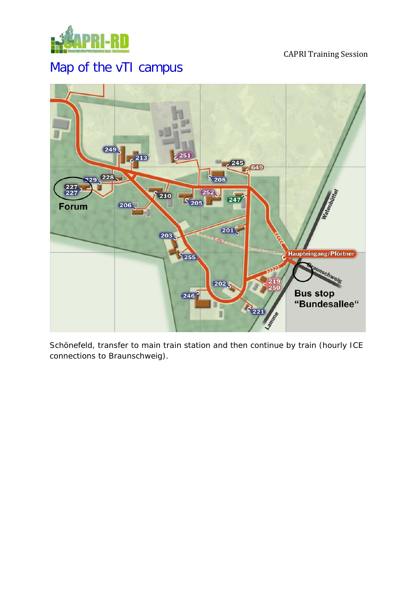

#### CAPRI Training Session

# Map of the vTI campus



Schönefeld, transfer to main train station and then continue by train (hourly ICE connections to Braunschweig).